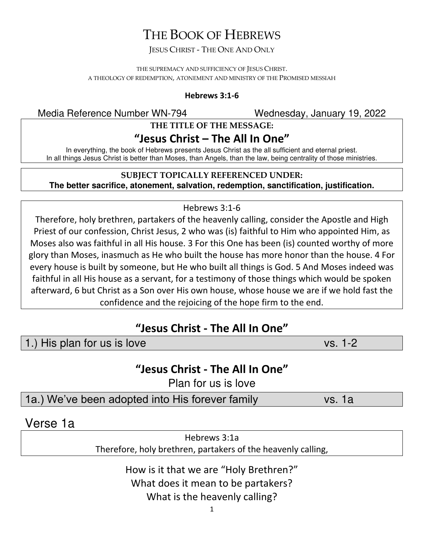# THE BOOK OF HEBREWS

#### JESUS CHRIST - THE ONE AND ONLY

THE SUPREMACY AND SUFFICIENCY OF JESUS CHRIST. A THEOLOGY OF REDEMPTION, ATONEMENT AND MINISTRY OF THE PROMISED MESSIAH

#### **Hebrews 3:1-6**

Media Reference Number WN-794 Wednesday, January 19, 2022

#### **THE TITLE OF THE MESSAGE:**

#### **"Jesus Christ – The All In One"**

In everything, the book of Hebrews presents Jesus Christ as the all sufficient and eternal priest. In all things Jesus Christ is better than Moses, than Angels, than the law, being centrality of those ministries.

#### **SUBJECT TOPICALLY REFERENCED UNDER:**

**The better sacrifice, atonement, salvation, redemption, sanctification, justification.** 

#### Hebrews 3:1-6

Therefore, holy brethren, partakers of the heavenly calling, consider the Apostle and High Priest of our confession, Christ Jesus, 2 who was (is) faithful to Him who appointed Him, as Moses also was faithful in all His house. 3 For this One has been (is) counted worthy of more glory than Moses, inasmuch as He who built the house has more honor than the house. 4 For every house is built by someone, but He who built all things is God. 5 And Moses indeed was faithful in all His house as a servant, for a testimony of those things which would be spoken afterward, 6 but Christ as a Son over His own house, whose house we are if we hold fast the confidence and the rejoicing of the hope firm to the end.

### **"Jesus Christ - The All In One"**

1.) His plan for us is love vs. 1-2

### **"Jesus Christ - The All In One"**

Plan for us is love

1a.) We've been adopted into His forever family vs. 1a

Verse 1a

Hebrews 3:1a Therefore, holy brethren, partakers of the heavenly calling,

> How is it that we are "Holy Brethren?" What does it mean to be partakers? What is the heavenly calling?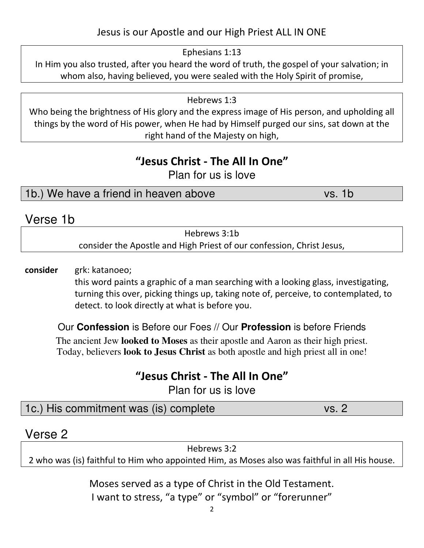#### Jesus is our Apostle and our High Priest ALL IN ONE

Ephesians 1:13

In Him you also trusted, after you heard the word of truth, the gospel of your salvation; in whom also, having believed, you were sealed with the Holy Spirit of promise,

Hebrews 1:3

Who being the brightness of His glory and the express image of His person, and upholding all things by the word of His power, when He had by Himself purged our sins, sat down at the right hand of the Majesty on high,

#### **"Jesus Christ - The All In One"**

Plan for us is love

1b.) We have a friend in heaven above vs. 1b

### Verse 1b

| Hebrews 3:1b                                                          |
|-----------------------------------------------------------------------|
| consider the Apostle and High Priest of our confession, Christ Jesus, |

**consider** grk: katanoeo;

this word paints a graphic of a man searching with a looking glass, investigating, turning this over, picking things up, taking note of, perceive, to contemplated, to detect. to look directly at what is before you.

Our **Confession** is Before our Foes // Our **Profession** is before Friends

The ancient Jew **looked to Moses** as their apostle and Aaron as their high priest. Today, believers **look to Jesus Christ** as both apostle and high priest all in one!

# **"Jesus Christ - The All In One"**

Plan for us is love

| 1c.) His commitment was (is) complete<br>vs. 2 |
|------------------------------------------------|
|------------------------------------------------|

### Verse 2

Hebrews 3:2 2 who was (is) faithful to Him who appointed Him, as Moses also was faithful in all His house.

> Moses served as a type of Christ in the Old Testament. I want to stress, "a type" or "symbol" or "forerunner"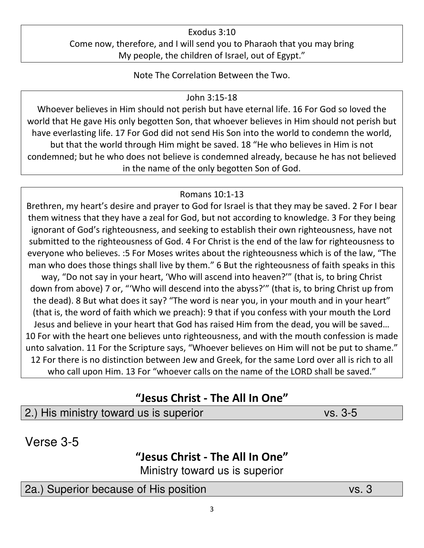#### Exodus 3:10 Come now, therefore, and I will send you to Pharaoh that you may bring My people, the children of Israel, out of Egypt."

Note The Correlation Between the Two.

#### John 3:15-18

Whoever believes in Him should not perish but have eternal life. 16 For God so loved the world that He gave His only begotten Son, that whoever believes in Him should not perish but have everlasting life. 17 For God did not send His Son into the world to condemn the world, but that the world through Him might be saved. 18 "He who believes in Him is not condemned; but he who does not believe is condemned already, because he has not believed in the name of the only begotten Son of God.

#### Romans 10:1-13

Brethren, my heart's desire and prayer to God for Israel is that they may be saved. 2 For I bear them witness that they have a zeal for God, but not according to knowledge. 3 For they being ignorant of God's righteousness, and seeking to establish their own righteousness, have not submitted to the righteousness of God. 4 For Christ is the end of the law for righteousness to everyone who believes. :5 For Moses writes about the righteousness which is of the law, "The man who does those things shall live by them." 6 But the righteousness of faith speaks in this way, "Do not say in your heart, 'Who will ascend into heaven?'" (that is, to bring Christ down from above) 7 or, "'Who will descend into the abyss?'" (that is, to bring Christ up from the dead). 8 But what does it say? "The word is near you, in your mouth and in your heart" (that is, the word of faith which we preach): 9 that if you confess with your mouth the Lord Jesus and believe in your heart that God has raised Him from the dead, you will be saved… 10 For with the heart one believes unto righteousness, and with the mouth confession is made unto salvation. 11 For the Scripture says, "Whoever believes on Him will not be put to shame." 12 For there is no distinction between Jew and Greek, for the same Lord over all is rich to all who call upon Him. 13 For "whoever calls on the name of the LORD shall be saved."

# **"Jesus Christ - The All In One"**

### 2.) His ministry toward us is superior vs. 3-5

Verse 3-5

#### **"Jesus Christ - The All In One"**

Ministry toward us is superior

### 2a.) Superior because of His position vs. 3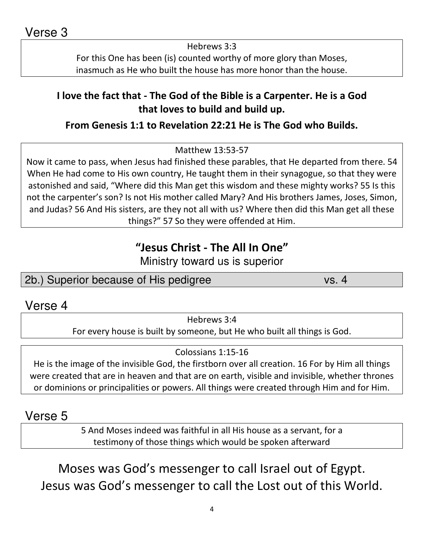Hebrews 3:3 For this One has been (is) counted worthy of more glory than Moses, inasmuch as He who built the house has more honor than the house.

### **I love the fact that - The God of the Bible is a Carpenter. He is a God that loves to build and build up.**

#### **From Genesis 1:1 to Revelation 22:21 He is The God who Builds.**

Matthew 13:53-57

Now it came to pass, when Jesus had finished these parables, that He departed from there. 54 When He had come to His own country, He taught them in their synagogue, so that they were astonished and said, "Where did this Man get this wisdom and these mighty works? 55 Is this not the carpenter's son? Is not His mother called Mary? And His brothers James, Joses, Simon, and Judas? 56 And His sisters, are they not all with us? Where then did this Man get all these things?" 57 So they were offended at Him.

# **"Jesus Christ - The All In One"**

Ministry toward us is superior

### 2b.) Superior because of His pedigree vs. 4

### Verse 4

Hebrews 3:4

For every house is built by someone, but He who built all things is God.

#### Colossians 1:15-16

He is the image of the invisible God, the firstborn over all creation. 16 For by Him all things were created that are in heaven and that are on earth, visible and invisible, whether thrones or dominions or principalities or powers. All things were created through Him and for Him.

### Verse 5

5 And Moses indeed was faithful in all His house as a servant, for a testimony of those things which would be spoken afterward

Moses was God's messenger to call Israel out of Egypt. Jesus was God's messenger to call the Lost out of this World.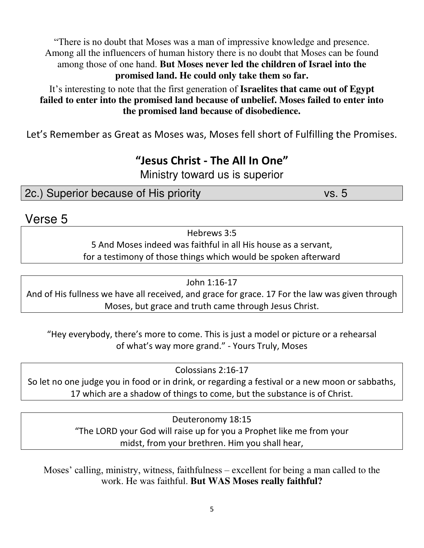"There is no doubt that Moses was a man of impressive knowledge and presence. Among all the influencers of human history there is no doubt that Moses can be found among those of one hand. **But Moses never led the children of Israel into the promised land. He could only take them so far.** 

It's interesting to note that the first generation of **Israelites that came out of Egypt failed to enter into the promised land because of unbelief. Moses failed to enter into the promised land because of disobedience.** 

Let's Remember as Great as Moses was, Moses fell short of Fulfilling the Promises.

# **"Jesus Christ - The All In One"**

Ministry toward us is superior

2c.) Superior because of His priority vs. 5

### Verse 5

Hebrews 3:5 5 And Moses indeed was faithful in all His house as a servant, for a testimony of those things which would be spoken afterward

John 1:16-17

And of His fullness we have all received, and grace for grace. 17 For the law was given through Moses, but grace and truth came through Jesus Christ.

"Hey everybody, there's more to come. This is just a model or picture or a rehearsal of what's way more grand." - Yours Truly, Moses

Colossians 2:16-17 So let no one judge you in food or in drink, or regarding a festival or a new moon or sabbaths, 17 which are a shadow of things to come, but the substance is of Christ.

> Deuteronomy 18:15 "The LORD your God will raise up for you a Prophet like me from your midst, from your brethren. Him you shall hear,

Moses' calling, ministry, witness, faithfulness – excellent for being a man called to the work. He was faithful. **But WAS Moses really faithful?**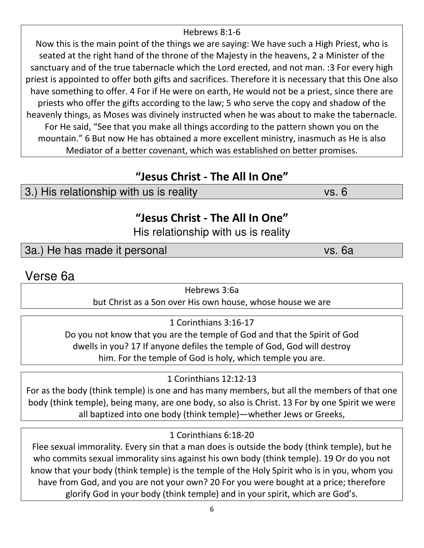#### Hebrews 8:1-6

Now this is the main point of the things we are saying: We have such a High Priest, who is seated at the right hand of the throne of the Majesty in the heavens, 2 a Minister of the sanctuary and of the true tabernacle which the Lord erected, and not man. :3 For every high priest is appointed to offer both gifts and sacrifices. Therefore it is necessary that this One also have something to offer. 4 For if He were on earth, He would not be a priest, since there are priests who offer the gifts according to the law; 5 who serve the copy and shadow of the heavenly things, as Moses was divinely instructed when he was about to make the tabernacle. For He said, "See that you make all things according to the pattern shown you on the mountain." 6 But now He has obtained a more excellent ministry, inasmuch as He is also Mediator of a better covenant, which was established on better promises.

# **"Jesus Christ - The All In One"**

# 3.) His relationship with us is reality values and very vs. 6

### **"Jesus Christ - The All In One"**

His relationship with us is reality

### 3a.) He has made it personal vs. 6a

Verse 6a

Hebrews 3:6a

but Christ as a Son over His own house, whose house we are

1 Corinthians 3:16-17

Do you not know that you are the temple of God and that the Spirit of God dwells in you? 17 If anyone defiles the temple of God, God will destroy him. For the temple of God is holy, which temple you are.

1 Corinthians 12:12-13

For as the body (think temple) is one and has many members, but all the members of that one body (think temple), being many, are one body, so also is Christ. 13 For by one Spirit we were all baptized into one body (think temple)—whether Jews or Greeks,

1 Corinthians 6:18-20

Flee sexual immorality. Every sin that a man does is outside the body (think temple), but he who commits sexual immorality sins against his own body (think temple). 19 Or do you not know that your body (think temple) is the temple of the Holy Spirit who is in you, whom you have from God, and you are not your own? 20 For you were bought at a price; therefore glorify God in your body (think temple) and in your spirit, which are God's.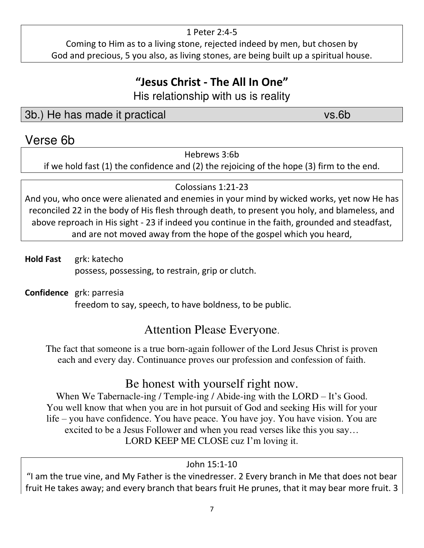#### 1 Peter 2:4-5

Coming to Him as to a living stone, rejected indeed by men, but chosen by God and precious, 5 you also, as living stones, are being built up a spiritual house.

# **"Jesus Christ - The All In One"**

His relationship with us is reality

3b.) He has made it practical vs.6b

### Verse 6b

Hebrews 3:6b

if we hold fast (1) the confidence and (2) the rejoicing of the hope (3) firm to the end.

Colossians 1:21-23

And you, who once were alienated and enemies in your mind by wicked works, yet now He has reconciled 22 in the body of His flesh through death, to present you holy, and blameless, and above reproach in His sight - 23 if indeed you continue in the faith, grounded and steadfast, and are not moved away from the hope of the gospel which you heard,

- **Hold Fast** grk: katecho possess, possessing, to restrain, grip or clutch.
- **Confidence** grk: parresia freedom to say, speech, to have boldness, to be public.

# Attention Please Everyone.

The fact that someone is a true born-again follower of the Lord Jesus Christ is proven each and every day. Continuance proves our profession and confession of faith.

### Be honest with yourself right now.

When We Tabernacle-ing / Temple-ing / Abide-ing with the LORD – It's Good. You well know that when you are in hot pursuit of God and seeking His will for your life – you have confidence. You have peace. You have joy. You have vision. You are excited to be a Jesus Follower and when you read verses like this you say… LORD KEEP ME CLOSE cuz I'm loving it.

#### John 15:1-10

"I am the true vine, and My Father is the vinedresser. 2 Every branch in Me that does not bear fruit He takes away; and every branch that bears fruit He prunes, that it may bear more fruit. 3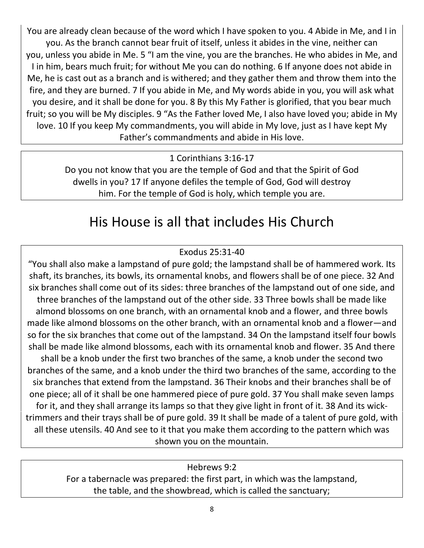You are already clean because of the word which I have spoken to you. 4 Abide in Me, and I in you. As the branch cannot bear fruit of itself, unless it abides in the vine, neither can you, unless you abide in Me. 5 "I am the vine, you are the branches. He who abides in Me, and I in him, bears much fruit; for without Me you can do nothing. 6 If anyone does not abide in Me, he is cast out as a branch and is withered; and they gather them and throw them into the fire, and they are burned. 7 If you abide in Me, and My words abide in you, you will ask what you desire, and it shall be done for you. 8 By this My Father is glorified, that you bear much fruit; so you will be My disciples. 9 "As the Father loved Me, I also have loved you; abide in My love. 10 If you keep My commandments, you will abide in My love, just as I have kept My Father's commandments and abide in His love.

1 Corinthians 3:16-17

Do you not know that you are the temple of God and that the Spirit of God dwells in you? 17 If anyone defiles the temple of God, God will destroy him. For the temple of God is holy, which temple you are.

# His House is all that includes His Church

#### Exodus 25:31-40

"You shall also make a lampstand of pure gold; the lampstand shall be of hammered work. Its shaft, its branches, its bowls, its ornamental knobs, and flowers shall be of one piece. 32 And six branches shall come out of its sides: three branches of the lampstand out of one side, and three branches of the lampstand out of the other side. 33 Three bowls shall be made like almond blossoms on one branch, with an ornamental knob and a flower, and three bowls made like almond blossoms on the other branch, with an ornamental knob and a flower—and so for the six branches that come out of the lampstand. 34 On the lampstand itself four bowls shall be made like almond blossoms, each with its ornamental knob and flower. 35 And there shall be a knob under the first two branches of the same, a knob under the second two branches of the same, and a knob under the third two branches of the same, according to the six branches that extend from the lampstand. 36 Their knobs and their branches shall be of one piece; all of it shall be one hammered piece of pure gold. 37 You shall make seven lamps for it, and they shall arrange its lamps so that they give light in front of it. 38 And its wicktrimmers and their trays shall be of pure gold. 39 It shall be made of a talent of pure gold, with all these utensils. 40 And see to it that you make them according to the pattern which was shown you on the mountain.

#### Hebrews 9:2

For a tabernacle was prepared: the first part, in which was the lampstand, the table, and the showbread, which is called the sanctuary;